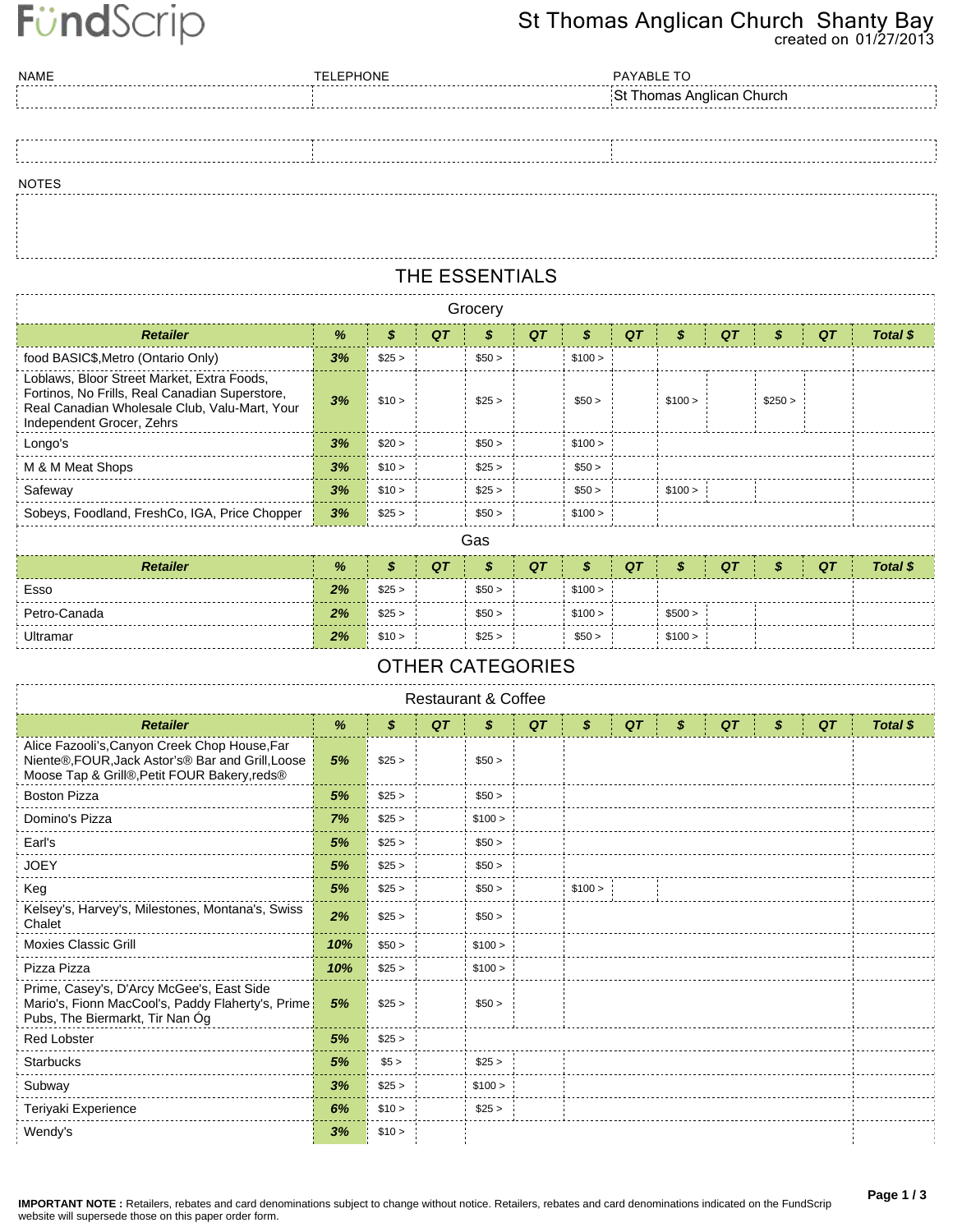# FündScrip

### **created on 01/27/2013 St Thomas Anglican Church Shanty Bay**

| <b>NAME</b>  | <b>TELEPHONE</b> | PAYABLE TO                |
|--------------|------------------|---------------------------|
|              |                  | St Thomas Anglican Church |
|              |                  |                           |
|              |                  |                           |
|              |                  |                           |
| <b>NOTES</b> |                  |                           |
|              |                  |                           |

## **THE ESSENTIALS**

|                                                                                                                                                                            | Grocery |        |    |        |    |         |    |         |    |         |    |          |  |  |  |
|----------------------------------------------------------------------------------------------------------------------------------------------------------------------------|---------|--------|----|--------|----|---------|----|---------|----|---------|----|----------|--|--|--|
| <b>Retailer</b>                                                                                                                                                            | %       | \$     | QT |        | QT | S       | QT | \$      | QT | S       | QT | Total \$ |  |  |  |
| food BASIC\$, Metro (Ontario Only)                                                                                                                                         | 3%      | \$25 > |    | \$50 > |    | \$100 > |    |         |    |         |    |          |  |  |  |
| Loblaws, Bloor Street Market, Extra Foods,<br>Fortinos, No Frills, Real Canadian Superstore,<br>Real Canadian Wholesale Club, Valu-Mart, Your<br>Independent Grocer, Zehrs | 3%      | \$10 > |    | \$25 > |    | \$50 >  |    | \$100 > |    | \$250 > |    |          |  |  |  |
| Longo's                                                                                                                                                                    | 3%      | \$20 > |    | \$50 > |    | \$100 > |    |         |    |         |    |          |  |  |  |
| M & M Meat Shops                                                                                                                                                           | 3%      | \$10 > |    | \$25 > |    | \$50 >  |    |         |    |         |    |          |  |  |  |
| Safeway                                                                                                                                                                    | 3%      | \$10 > |    | \$25 > |    | \$50 >  |    | \$100 > |    |         |    |          |  |  |  |
| Sobeys, Foodland, FreshCo, IGA, Price Chopper                                                                                                                              | 3%      | \$25 > |    | \$50 > |    | \$100 > |    |         |    |         |    |          |  |  |  |
|                                                                                                                                                                            |         |        |    | Gas    |    |         |    |         |    |         |    |          |  |  |  |

| <b>Retailer</b> | %  |        | QT |        | QT |         | QT |         | QT | QT | <b>Total \$</b> |
|-----------------|----|--------|----|--------|----|---------|----|---------|----|----|-----------------|
| Esso            | 2% | \$25 > |    | \$50 > |    | \$100 > |    |         |    |    |                 |
| Petro-Canada    | 2% | \$25 > |    | \$50 > |    | \$100 > |    | \$500 > |    |    |                 |
| Ultramar        | 2% | \$10 > |    | \$25 > |    | \$50 >  |    | \$100 > |    |    |                 |

### **OTHER CATEGORIES**

| Restaurant & Coffee                                                                                                                                |     |        |    |         |    |         |  |    |  |   |    |  |    |    |          |  |
|----------------------------------------------------------------------------------------------------------------------------------------------------|-----|--------|----|---------|----|---------|--|----|--|---|----|--|----|----|----------|--|
| <b>Retailer</b>                                                                                                                                    | %   | \$     | QT | \$      | QT | \$      |  | QT |  | S | QT |  | \$ | QT | Total \$ |  |
| Alice Fazooli's, Canyon Creek Chop House, Far<br>Niente®, FOUR, Jack Astor's® Bar and Grill, Loose<br>Moose Tap & Grill®, Petit FOUR Bakery, reds® | 5%  | \$25 > |    | \$50 >  |    |         |  |    |  |   |    |  |    |    |          |  |
| <b>Boston Pizza</b>                                                                                                                                | 5%  | \$25 > |    | \$50 >  |    |         |  |    |  |   |    |  |    |    |          |  |
| Domino's Pizza                                                                                                                                     | 7%  | \$25 > |    | \$100 > |    |         |  |    |  |   |    |  |    |    |          |  |
| Earl's                                                                                                                                             | 5%  | \$25 > |    | \$50 >  |    |         |  |    |  |   |    |  |    |    |          |  |
| <b>JOEY</b>                                                                                                                                        | 5%  | \$25 > |    | \$50 >  |    |         |  |    |  |   |    |  |    |    |          |  |
| Keg                                                                                                                                                | 5%  | \$25 > |    | \$50 >  |    | \$100 > |  |    |  |   |    |  |    |    |          |  |
| Kelsey's, Harvey's, Milestones, Montana's, Swiss<br>Chalet                                                                                         | 2%  | \$25 > |    | \$50 >  |    |         |  |    |  |   |    |  |    |    |          |  |
| <b>Moxies Classic Grill</b>                                                                                                                        | 10% | \$50 > |    | \$100 > |    |         |  |    |  |   |    |  |    |    |          |  |
| Pizza Pizza                                                                                                                                        | 10% | \$25 > |    | \$100 > |    |         |  |    |  |   |    |  |    |    |          |  |
| Prime, Casey's, D'Arcy McGee's, East Side<br>Mario's, Fionn MacCool's, Paddy Flaherty's, Prime<br>Pubs, The Biermarkt, Tir Nan Óg                  | 5%  | \$25 > |    | \$50 >  |    |         |  |    |  |   |    |  |    |    |          |  |
| <b>Red Lobster</b>                                                                                                                                 | 5%  | \$25 > |    |         |    |         |  |    |  |   |    |  |    |    |          |  |
| <b>Starbucks</b>                                                                                                                                   | 5%  | \$5 >  |    | \$25 >  |    |         |  |    |  |   |    |  |    |    |          |  |
| Subway                                                                                                                                             | 3%  | \$25 > |    | \$100 > |    |         |  |    |  |   |    |  |    |    |          |  |
| Teriyaki Experience                                                                                                                                | 6%  | \$10 > |    | \$25 >  |    |         |  |    |  |   |    |  |    |    |          |  |
| Wendy's                                                                                                                                            | 3%  | \$10 > |    |         |    |         |  |    |  |   |    |  |    |    |          |  |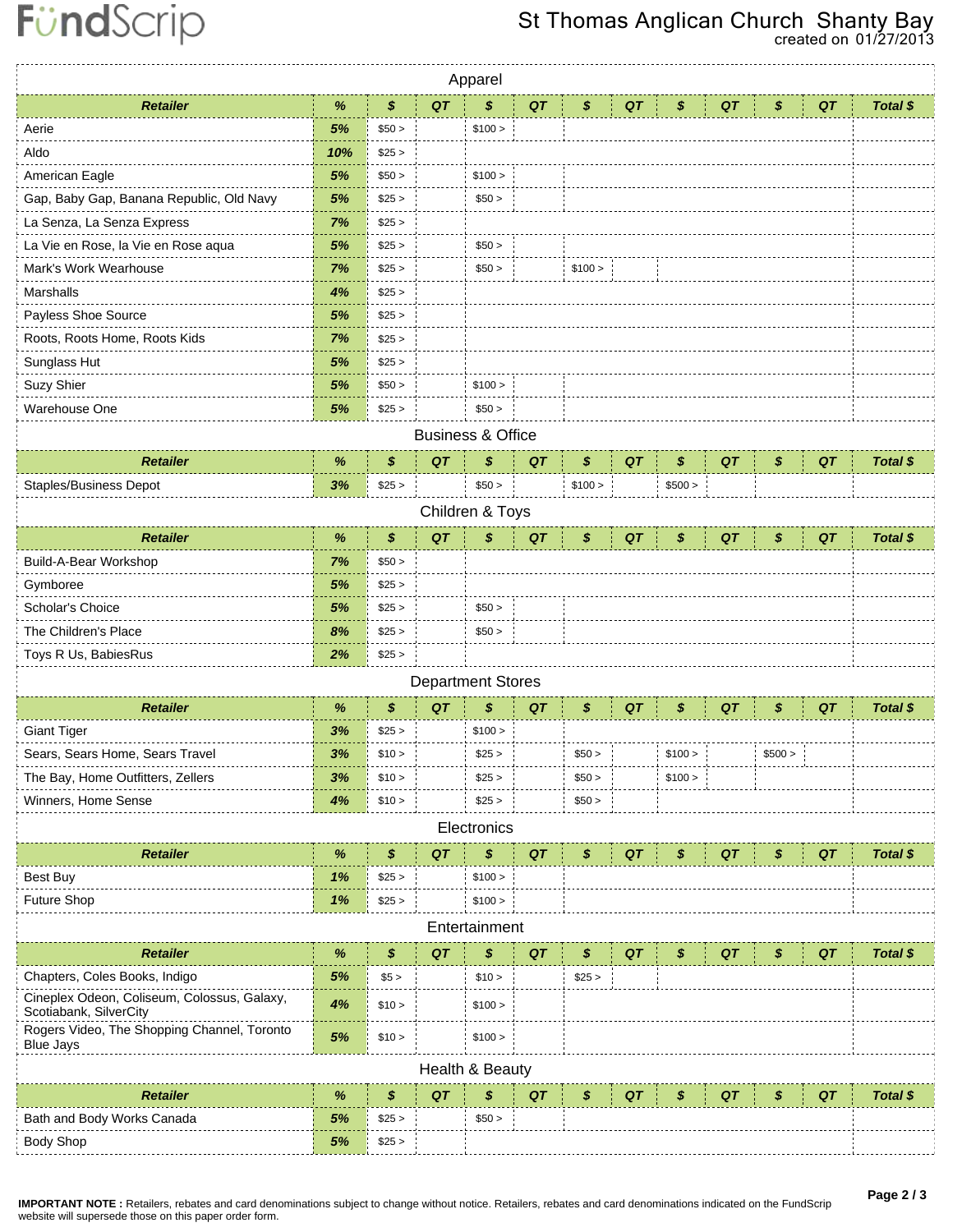# St Thomas Anglican Church Shanty Bay

|                                                                       |      |        |    | Apparel                      |    |         |    |         |    |         |    |          |
|-----------------------------------------------------------------------|------|--------|----|------------------------------|----|---------|----|---------|----|---------|----|----------|
| <b>Retailer</b>                                                       | %    | \$     | QT | \$                           | QT | \$      | QT | \$      | QT | \$      | QT | Total \$ |
| Aerie                                                                 | 5%   | \$50 > |    | \$100 >                      |    |         |    |         |    |         |    |          |
| Aldo                                                                  | 10%  | \$25 > |    |                              |    |         |    |         |    |         |    |          |
| American Eagle                                                        | 5%   | \$50 > |    | \$100 >                      |    |         |    |         |    |         |    |          |
| Gap, Baby Gap, Banana Republic, Old Navy                              | 5%   | \$25 > |    | \$50 >                       |    |         |    |         |    |         |    |          |
| La Senza, La Senza Express                                            | 7%   | \$25 > |    |                              |    |         |    |         |    |         |    |          |
| La Vie en Rose, la Vie en Rose aqua                                   | 5%   | \$25 > |    | \$50 >                       |    |         |    |         |    |         |    |          |
| Mark's Work Wearhouse                                                 | 7%   | \$25 > |    | \$50 >                       |    | \$100 > |    |         |    |         |    |          |
| Marshalls                                                             | 4%   | \$25 > |    |                              |    |         |    |         |    |         |    |          |
| Payless Shoe Source                                                   | 5%   | \$25 > |    |                              |    |         |    |         |    |         |    |          |
| Roots, Roots Home, Roots Kids                                         | 7%   | \$25 > |    |                              |    |         |    |         |    |         |    |          |
| Sunglass Hut                                                          | 5%   | \$25 > |    |                              |    |         |    |         |    |         |    |          |
| Suzy Shier                                                            | 5%   | \$50 > |    | \$100 >                      |    |         |    |         |    |         |    |          |
| Warehouse One                                                         | 5%   | \$25 > |    | \$50 >                       |    |         |    |         |    |         |    |          |
|                                                                       |      |        |    | <b>Business &amp; Office</b> |    |         |    |         |    |         |    |          |
| <b>Retailer</b>                                                       | %    | \$     | QT | \$                           | QT | \$      | QT | \$      | QT | \$      | QT | Total \$ |
| <b>Staples/Business Depot</b>                                         | 3%   | \$25 > |    | \$50 >                       |    | \$100 > |    | \$500 > |    |         |    |          |
|                                                                       |      |        |    | Children & Toys              |    |         |    |         |    |         |    |          |
| <b>Retailer</b>                                                       | %    | \$     | QT | \$                           | QT | \$      | QT | S       | QT | \$      | QT | Total \$ |
| Build-A-Bear Workshop                                                 | 7%   | \$50 > |    |                              |    |         |    |         |    |         |    |          |
| Gymboree                                                              | 5%   | \$25 > |    |                              |    |         |    |         |    |         |    |          |
| Scholar's Choice                                                      | 5%   | \$25 > |    | \$50 >                       |    |         |    |         |    |         |    |          |
| The Children's Place                                                  | 8%   | \$25 > |    | \$50 >                       |    |         |    |         |    |         |    |          |
| Toys R Us, BabiesRus                                                  | 2%   | \$25 > |    |                              |    |         |    |         |    |         |    |          |
|                                                                       |      |        |    | <b>Department Stores</b>     |    |         |    |         |    |         |    |          |
| <b>Retailer</b>                                                       | $\%$ | \$     | QT | \$                           | QT | \$      | QT | \$      | QT | \$      | QT | Total \$ |
| <b>Giant Tiger</b>                                                    | 3%   | \$25 > |    | \$100 >                      |    |         |    |         |    |         |    |          |
| Sears, Sears Home, Sears Travel                                       | 3%   | \$10 > |    | \$25 >                       |    | \$50 >  |    | \$100 > |    | \$500 > |    |          |
| The Bay, Home Outfitters, Zellers                                     | 3%   | \$10 > |    | \$25 >                       |    | \$50 >  |    | \$100 > |    |         |    |          |
| Winners, Home Sense                                                   | 4%   | \$10 > |    | \$25 >                       |    | \$50 >  |    |         |    |         |    |          |
|                                                                       |      |        |    | Electronics                  |    |         |    |         |    |         |    |          |
| <b>Retailer</b>                                                       | $\%$ | \$     | QT | \$                           | QT | \$      | QT | \$      | QT | \$      | QT | Total \$ |
| <b>Best Buy</b>                                                       | 1%   | \$25 > |    | \$100 >                      |    |         |    |         |    |         |    |          |
| Future Shop                                                           | 1%   | \$25 > |    | \$100 >                      |    |         |    |         |    |         |    |          |
|                                                                       |      |        |    | Entertainment                |    |         |    |         |    |         |    |          |
| <b>Retailer</b>                                                       | %    | \$     | QT | \$                           | QT | \$      | QT | S       | QT | S       | QT | Total \$ |
| Chapters, Coles Books, Indigo                                         | 5%   | \$5 >  |    | \$10 >                       |    | \$25 >  |    |         |    |         |    |          |
| Cineplex Odeon, Coliseum, Colossus, Galaxy,<br>Scotiabank, SilverCity | 4%   | \$10 > |    | \$100 >                      |    |         |    |         |    |         |    |          |
| Rogers Video, The Shopping Channel, Toronto<br><b>Blue Jays</b>       | 5%   | \$10 > |    | \$100 >                      |    |         |    |         |    |         |    |          |
|                                                                       |      |        |    | Health & Beauty              |    |         |    |         |    |         |    |          |
| <b>Retailer</b>                                                       | $\%$ | \$     | QT | \$                           | QT | \$      | QT | S       | QT | \$      | QT | Total \$ |
| Bath and Body Works Canada                                            | 5%   | \$25 > |    | \$50 >                       |    |         |    |         |    |         |    |          |
| <b>Body Shop</b>                                                      | 5%   | \$25 > |    |                              |    |         |    |         |    |         |    |          |